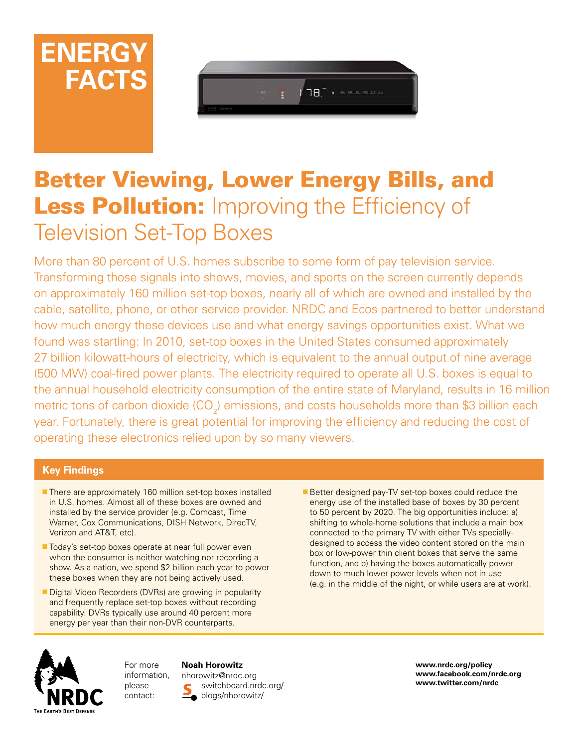



# Better Viewing, Lower Energy Bills, and Less Pollution: Improving the Efficiency of Television Set-Top Boxes

More than 80 percent of U.S. homes subscribe to some form of pay television service. Transforming those signals into shows, movies, and sports on the screen currently depends on approximately 160 million set-top boxes, nearly all of which are owned and installed by the cable, satellite, phone, or other service provider. NRDC and Ecos partnered to better understand how much energy these devices use and what energy savings opportunities exist. What we found was startling: In 2010, set-top boxes in the United States consumed approximately 27 billion kilowatt-hours of electricity, which is equivalent to the annual output of nine average (500 MW) coal-fired power plants. The electricity required to operate all U.S. boxes is equal to the annual household electricity consumption of the entire state of Maryland, results in 16 million metric tons of carbon dioxide (CO<sub>2</sub>) emissions, and costs households more than \$3 billion each year. Fortunately, there is great potential for improving the efficiency and reducing the cost of operating these electronics relied upon by so many viewers.

## **Key Findings**

- There are approximately 160 million set-top boxes installed in U.S. homes. Almost all of these boxes are owned and installed by the service provider (e.g. Comcast, Time Warner, Cox Communications, DISH Network, DirecTV, Verizon and AT&T, etc).
- Today's set-top boxes operate at near full power even when the consumer is neither watching nor recording a show. As a nation, we spend \$2 billion each year to power these boxes when they are not being actively used.
- Digital Video Recorders (DVRs) are growing in popularity and frequently replace set-top boxes without recording capability. DVRs typically use around 40 percent more energy per year than their non-DVR counterparts.

Better designed pay-TV set-top boxes could reduce the energy use of the installed base of boxes by 30 percent to 50 percent by 2020. The big opportunities include: a) shifting to whole-home solutions that include a main box connected to the primary TV with either TVs speciallydesigned to access the video content stored on the main box or low-power thin client boxes that serve the same function, and b) having the boxes automatically power down to much lower power levels when not in use (e.g. in the middle of the night, or while users are at work).



For more information, please contact:

**Noah Horowitz** nhorowitz@nrdc.org

switchboard.nrdc.org/ blogs/nhorowitz/

**www.nrdc.org/policy www.facebook.com/nrdc.org www.twitter.com/nrdc**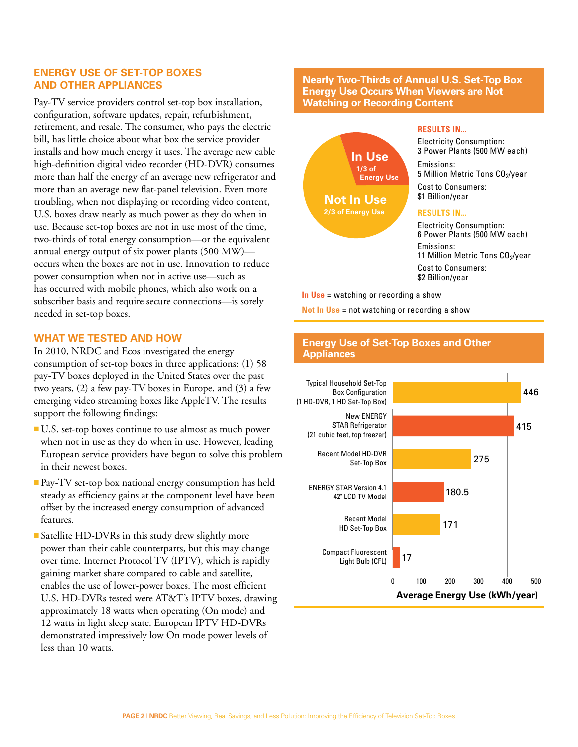## **Energy Use of Set-Top Boxes and Other Appliances**

Pay-TV service providers control set-top box installation, configuration, software updates, repair, refurbishment, retirement, and resale. The consumer, who pays the electric bill, has little choice about what box the service provider installs and how much energy it uses. The average new cable high-definition digital video recorder (HD-DVR) consumes more than half the energy of an average new refrigerator and more than an average new flat-panel television. Even more troubling, when not displaying or recording video content, U.S. boxes draw nearly as much power as they do when in use. Because set-top boxes are not in use most of the time, two-thirds of total energy consumption—or the equivalent annual energy output of six power plants (500 MW) occurs when the boxes are not in use. Innovation to reduce power consumption when not in active use—such as has occurred with mobile phones, which also work on a subscriber basis and require secure connections—is sorely needed in set-top boxes.

## **What We Tested and How**

In 2010, NRDC and Ecos investigated the energy consumption of set-top boxes in three applications: (1) 58 pay-TV boxes deployed in the United States over the past two years, (2) a few pay-TV boxes in Europe, and (3) a few emerging video streaming boxes like AppleTV. The results support the following findings:

- <sup>n</sup> U.S. set-top boxes continue to use almost as much power when not in use as they do when in use. However, leading European service providers have begun to solve this problem in their newest boxes.
- **Pay-TV** set-top box national energy consumption has held steady as efficiency gains at the component level have been offset by the increased energy consumption of advanced features.
- Satellite HD-DVRs in this study drew slightly more power than their cable counterparts, but this may change over time. Internet Protocol TV (IPTV), which is rapidly gaining market share compared to cable and satellite, enables the use of lower-power boxes. The most efficient U.S. HD-DVRs tested were AT&T's IPTV boxes, drawing approximately 18 watts when operating (On mode) and 12 watts in light sleep state. European IPTV HD-DVRs demonstrated impressively low On mode power levels of less than 10 watts.

#### **Nearly Two-Thirds of Annual U.S. Set-Top Box Energy Use Occurs When Viewers are Not Watching or Recording Content**



**In Use** = watching or recording a show

**Not In Use** = not watching or recording a show

#### **Energy Use of Set-Top Boxes and Other Appliances**

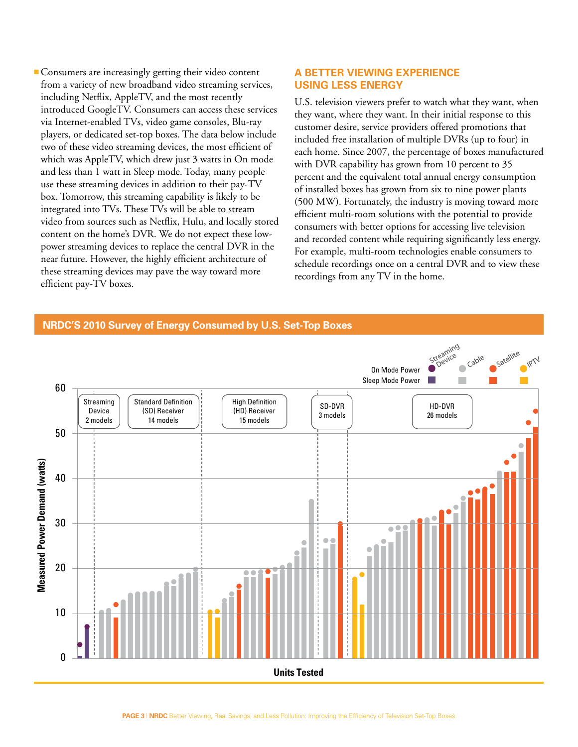<sup>n</sup> Consumers are increasingly getting their video content from a variety of new broadband video streaming services, including Netflix, AppleTV, and the most recently introduced GoogleTV. Consumers can access these services via Internet-enabled TVs, video game consoles, Blu-ray players, or dedicated set-top boxes. The data below include two of these video streaming devices, the most efficient of which was AppleTV, which drew just 3 watts in On mode and less than 1 watt in Sleep mode. Today, many people use these streaming devices in addition to their pay-TV box. Tomorrow, this streaming capability is likely to be integrated into TVs. These TVs will be able to stream video from sources such as Netflix, Hulu, and locally stored content on the home's DVR. We do not expect these lowpower streaming devices to replace the central DVR in the near future. However, the highly efficient architecture of these streaming devices may pave the way toward more efficient pay-TV boxes.

## **A Better Viewing Experience Using Less Energy**

U.S. television viewers prefer to watch what they want, when they want, where they want. In their initial response to this customer desire, service providers offered promotions that included free installation of multiple DVRs (up to four) in each home. Since 2007, the percentage of boxes manufactured with DVR capability has grown from 10 percent to 35 percent and the equivalent total annual energy consumption of installed boxes has grown from six to nine power plants (500 MW). Fortunately, the industry is moving toward more efficient multi-room solutions with the potential to provide consumers with better options for accessing live television and recorded content while requiring significantly less energy. For example, multi-room technologies enable consumers to schedule recordings once on a central DVR and to view these recordings from any TV in the home.

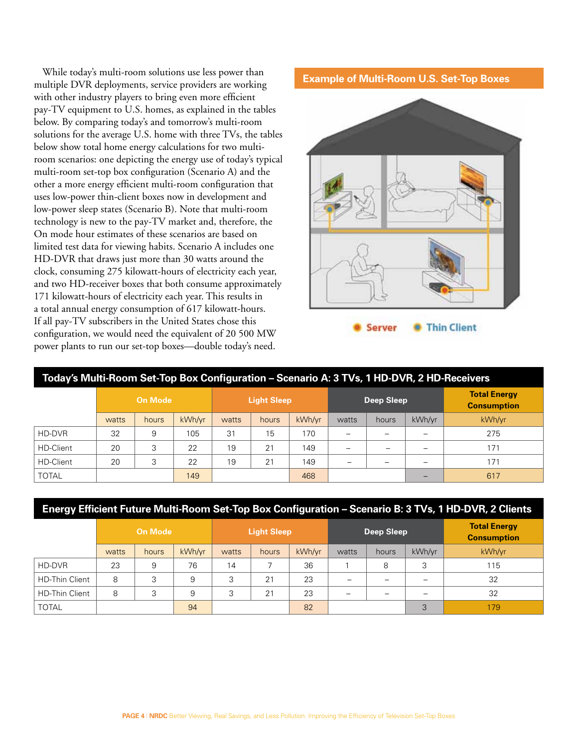While today's multi-room solutions use less power than multiple DVR deployments, service providers are working with other industry players to bring even more efficient pay-TV equipment to U.S. homes, as explained in the tables below. By comparing today's and tomorrow's multi-room solutions for the average U.S. home with three TVs, the tables below show total home energy calculations for two multiroom scenarios: one depicting the energy use of today's typical multi-room set-top box configuration (Scenario A) and the other a more energy efficient multi-room configuration that uses low-power thin-client boxes now in development and low-power sleep states (Scenario B). Note that multi-room technology is new to the pay-TV market and, therefore, the On mode hour estimates of these scenarios are based on limited test data for viewing habits. Scenario A includes one HD-DVR that draws just more than 30 watts around the clock, consuming 275 kilowatt-hours of electricity each year, and two HD-receiver boxes that both consume approximately 171 kilowatt-hours of electricity each year. This results in a total annual energy consumption of 617 kilowatt-hours. If all pay-TV subscribers in the United States chose this configuration, we would need the equivalent of 20 500 MW power plants to run our set-top boxes—double today's need.

## **Example of Multi-Room U.S. Set-Top Boxes**



| Today's Multi-Room Set-Top Box Configuration - Scenario A: 3 TVs, 1 HD-DVR, 2 HD-Receivers |                |       |        |                    |       |        |            |       |                          |                                           |  |
|--------------------------------------------------------------------------------------------|----------------|-------|--------|--------------------|-------|--------|------------|-------|--------------------------|-------------------------------------------|--|
|                                                                                            | <b>On Mode</b> |       |        | <b>Light Sleep</b> |       |        | Deep Sleep |       |                          | <b>Total Energy</b><br><b>Consumption</b> |  |
|                                                                                            | watts          | hours | kWh/vr | watts              | hours | kWh/yr | watts      | hours | kWh/yr                   | kWh/yr                                    |  |
| HD-DVR                                                                                     | 32             | 9     | 105    | 31                 | 15    | 170    |            |       | $\overline{\phantom{0}}$ | 275                                       |  |
| <b>HD-Client</b>                                                                           | 20             | 3     | 22     | 19                 | 21    | 149    |            |       | $\overline{\phantom{0}}$ | 171                                       |  |
| <b>HD-Client</b>                                                                           | 20             | 3     | 22     | 19                 | 21    | 149    | -          |       | $\equiv$                 | 171                                       |  |
| <b>TOTAL</b>                                                                               |                |       | 149    |                    |       | 468    |            |       | $\overline{\phantom{0}}$ | 617                                       |  |

## **Energy Efficient Future Multi-Room Set-Top Box Configuration – Scenario B: 3 TVs, 1 HD-DVR, 2 Clients**

|                       | <b>On Mode</b> |       |        | <b>Light Sleep</b> |       |        | Deep Sleep               |       |        | <b>Total Energy</b><br><b>Consumption</b> |
|-----------------------|----------------|-------|--------|--------------------|-------|--------|--------------------------|-------|--------|-------------------------------------------|
|                       | watts          | hours | kWh/vr | watts              | hours | kWh/vr | watts                    | hours | kWh/vr | kWh/yr                                    |
| HD-DVR                | 23             | 9     | 76     | 14                 |       | 36     |                          | 8     | 3      | 115                                       |
| <b>HD-Thin Client</b> | 8              | 3     | 9      | 3                  | 21    | 23     | $\overline{\phantom{0}}$ |       | -      | 32                                        |
| <b>HD-Thin Client</b> | 8              | 3     | 9      | 3                  | 21    | 23     | -                        |       | -      | 32                                        |
| <b>TOTAL</b>          |                |       | 94     |                    |       | 82     |                          |       | 3      | 179                                       |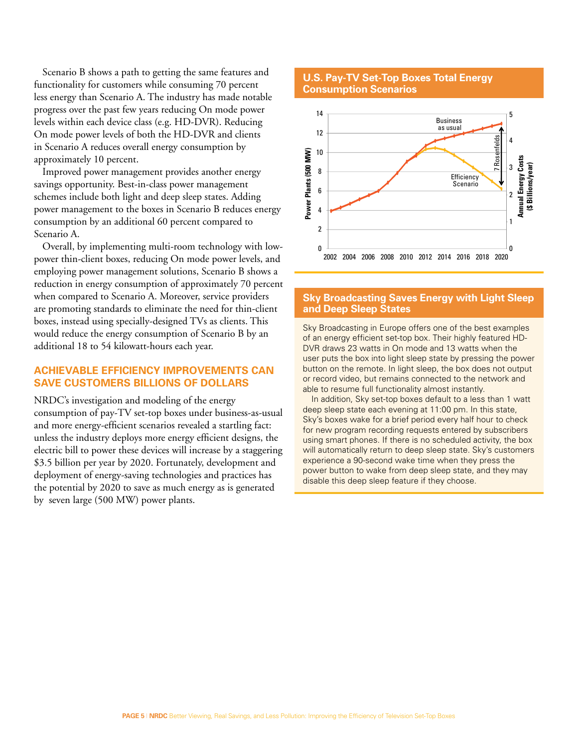Scenario B shows a path to getting the same features and functionality for customers while consuming 70 percent less energy than Scenario A. The industry has made notable progress over the past few years reducing On mode power levels within each device class (e.g. HD-DVR). Reducing On mode power levels of both the HD-DVR and clients in Scenario A reduces overall energy consumption by approximately 10 percent.

Improved power management provides another energy savings opportunity. Best-in-class power management schemes include both light and deep sleep states. Adding power management to the boxes in Scenario B reduces energy consumption by an additional 60 percent compared to Scenario A.

Overall, by implementing multi-room technology with lowpower thin-client boxes, reducing On mode power levels, and employing power management solutions, Scenario B shows a reduction in energy consumption of approximately 70 percent when compared to Scenario A. Moreover, service providers are promoting standards to eliminate the need for thin-client boxes, instead using specially-designed TVs as clients. This would reduce the energy consumption of Scenario B by an additional 18 to 54 kilowatt-hours each year.

## **Achievable Efficiency Improvements Can Save Customers Billions of Dollars**

NRDC's investigation and modeling of the energy consumption of pay-TV set-top boxes under business-as-usual and more energy-efficient scenarios revealed a startling fact: unless the industry deploys more energy efficient designs, the electric bill to power these devices will increase by a staggering \$3.5 billion per year by 2020. Fortunately, development and deployment of energy-saving technologies and practices has the potential by 2020 to save as much energy as is generated by seven large (500 MW) power plants.

#### **U.S. Pay-TV Set-Top Boxes Total Energy Consumption Scenarios**



#### **Sky Broadcasting Saves Energy with Light Sleep and Deep Sleep States**

Sky Broadcasting in Europe offers one of the best examples of an energy efficient set-top box. Their highly featured HD-DVR draws 23 watts in On mode and 13 watts when the user puts the box into light sleep state by pressing the power button on the remote. In light sleep, the box does not output or record video, but remains connected to the network and able to resume full functionality almost instantly.

In addition, Sky set-top boxes default to a less than 1 watt deep sleep state each evening at 11:00 pm. In this state, Sky's boxes wake for a brief period every half hour to check for new program recording requests entered by subscribers using smart phones. If there is no scheduled activity, the box will automatically return to deep sleep state. Sky's customers experience a 90-second wake time when they press the power button to wake from deep sleep state, and they may disable this deep sleep feature if they choose.